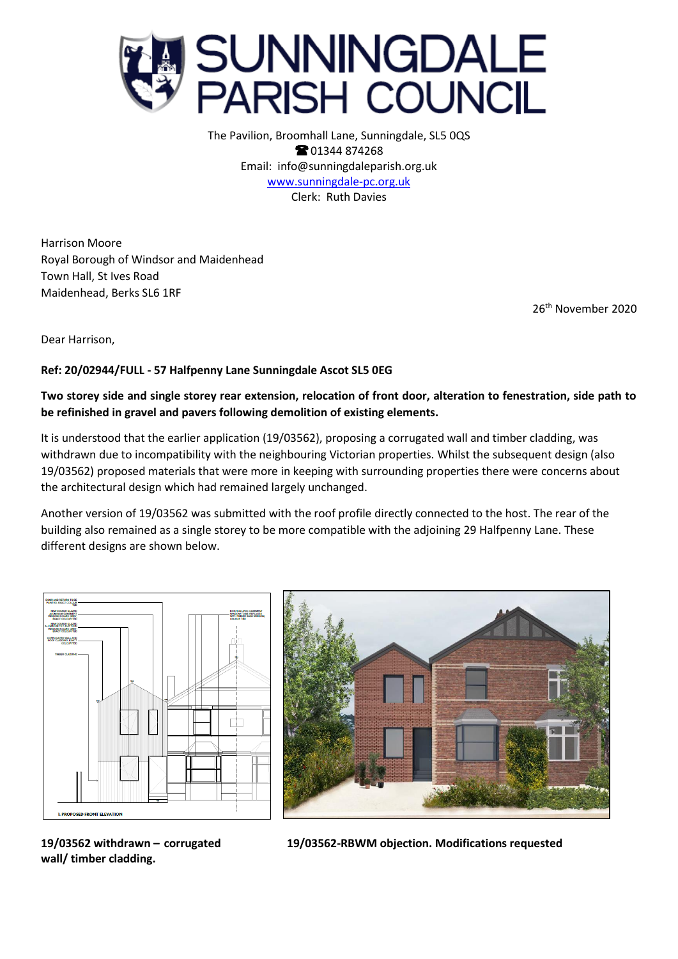

The Pavilion, Broomhall Lane, Sunningdale, SL5 0QS **8**01344 874268 Email: info@sunningdaleparish.org.uk [www.sunningdale-pc.org.uk](http://www.sunningdale-pc.org.uk/) Clerk: Ruth Davies

Harrison Moore Royal Borough of Windsor and Maidenhead Town Hall, St Ives Road Maidenhead, Berks SL6 1RF

26 th November 2020

Dear Harrison,

## **Ref: 20/02944/FULL - 57 Halfpenny Lane Sunningdale Ascot SL5 0EG**

**Two storey side and single storey rear extension, relocation of front door, alteration to fenestration, side path to be refinished in gravel and pavers following demolition of existing elements.** 

It is understood that the earlier application (19/03562), proposing a corrugated wall and timber cladding, was withdrawn due to incompatibility with the neighbouring Victorian properties. Whilst the subsequent design (also 19/03562) proposed materials that were more in keeping with surrounding properties there were concerns about the architectural design which had remained largely unchanged.

Another version of 19/03562 was submitted with the roof profile directly connected to the host. The rear of the building also remained as a single storey to be more compatible with the adjoining 29 Halfpenny Lane. These different designs are shown below.





**wall/ timber cladding.** 

**19/03562 withdrawn – corrugated 19/03562-RBWM objection. Modifications requested**